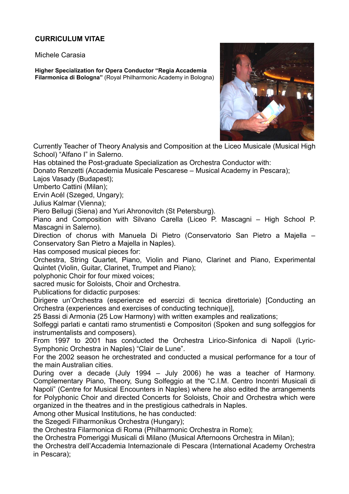## **CURRICULUM VITAE**

Michele Carasia

**Higher Specialization for Opera Conductor "Regia Accademia Filarmonica di Bologna"** (Royal Philharmonic Academy in Bologna)



Currently Teacher of Theory Analysis and Composition at the Liceo Musicale (Musical High School) "Alfano I" in Salerno.

Has obtained the Post-graduate Specialization as Orchestra Conductor with:

Donato Renzetti (Accademia Musicale Pescarese – Musical Academy in Pescara);

Lajos Vasady (Budapest);

Umberto Cattini (Milan);

Ervin Acél (Szeged, Ungary);

Julius Kalmar (Vienna);

Piero Bellugi (Siena) and Yuri Ahronovitch (St Petersburg).

Piano and Composition with Silvano Carella (Liceo P. Mascagni – High School P. Mascagni in Salerno).

Direction of chorus with Manuela Di Pietro (Conservatorio San Pietro a Majella – Conservatory San Pietro a Majella in Naples).

Has composed musical pieces for:

Orchestra, String Quartet, Piano, Violin and Piano, Clarinet and Piano, Experimental Quintet (Violin, Guitar, Clarinet, Trumpet and Piano);

polyphonic Choir for four mixed voices;

sacred music for Soloists, Choir and Orchestra.

Publications for didactic purposes:

Dirigere un'Orchestra (esperienze ed esercizi di tecnica direttoriale) [Conducting an Orchestra (experiences and exercises of conducting technique)],

25 Bassi di Armonia (25 Low Harmony) with written examples and realizations;

Solfeggi parlati e cantati ramo strumentisti e Compositori (Spoken and sung solfeggios for instrumentalists and composers).

From 1997 to 2001 has conducted the Orchestra Lirico-Sinfonica di Napoli (Lyric-Symphonic Orchestra in Naples) "Clair de Lune".

For the 2002 season he orchestrated and conducted a musical performance for a tour of the main Australian cities.

During over a decade (July 1994 – July 2006) he was a teacher of Harmony. Complementary Piano, Theory, Sung Solfeggio at the "C.I.M. Centro Incontri Musicali di Napoli" (Centre for Musical Encounters in Naples) where he also edited the arrangements for Polyphonic Choir and directed Concerts for Soloists, Choir and Orchestra which were organized in the theatres and in the prestigious cathedrals in Naples.

Among other Musical Institutions, he has conducted:

the Szegedi Filharmonikus Orchestra (Hungary);

the Orchestra Filarmonica di Roma (Philharmonic Orchestra in Rome);

the Orchestra Pomeriggi Musicali di Milano (Musical Afternoons Orchestra in Milan);

the Orchestra dell'Accademia Internazionale di Pescara (International Academy Orchestra in Pescara);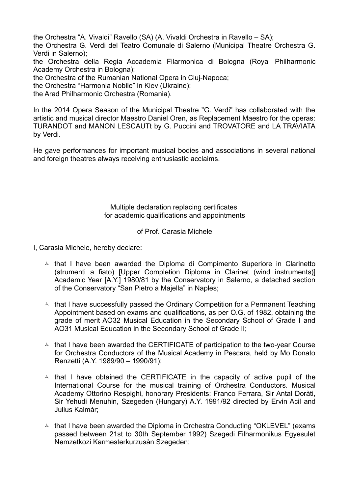the Orchestra "A. Vivaldi" Ravello (SA) (A. Vivaldi Orchestra in Ravello – SA);

the Orchestra G. Verdi del Teatro Comunale di Salerno (Municipal Theatre Orchestra G. Verdi in Salerno);

the Orchestra della Regia Accademia Filarmonica di Bologna (Royal Philharmonic Academy Orchestra in Bologna);

the Orchestra of the Rumanian National Opera in Cluj-Napoca;

the Orchestra "Harmonia Nobile" in Kiev (Ukraine);

the Arad Philharmonic Orchestra (Romania).

In the 2014 Opera Season of the Municipal Theatre "G. Verdi" has collaborated with the artistic and musical director Maestro Daniel Oren, as Replacement Maestro for the operas: TURANDOT and MANON LESCAUTt by G. Puccini and TROVATORE and LA TRAVIATA by Verdi.

He gave performances for important musical bodies and associations in several national and foreign theatres always receiving enthusiastic acclaims.

## Multiple declaration replacing certificates for academic qualifications and appointments

## of Prof. Carasia Michele

I, Carasia Michele, hereby declare:

- $\triangle$  that I have been awarded the Diploma di Compimento Superiore in Clarinetto (strumenti a fiato) [Upper Completion Diploma in Clarinet (wind instruments)] Academic Year [A.Y.] 1980/81 by the Conservatory in Salerno, a detached section of the Conservatory "San Pietro a Majella" in Naples;
- $\lambda$  that I have successfully passed the Ordinary Competition for a Permanent Teaching Appointment based on exams and qualifications, as per O.G. of 1982, obtaining the grade of merit AO32 Musical Education in the Secondary School of Grade I and AO31 Musical Education in the Secondary School of Grade II;
- $\triangle$  that I have been awarded the CERTIFICATE of participation to the two-year Course for Orchestra Conductors of the Musical Academy in Pescara, held by Mo Donato Renzetti (A.Y. 1989/90 – 1990/91);
- $\triangle$  that I have obtained the CERTIFICATE in the capacity of active pupil of the International Course for the musical training of Orchestra Conductors. Musical Academy Ottorino Respighi, honorary Presidents: Franco Ferrara, Sir Antal Doràti, Sir Yehudi Menuhin, Szegeden (Hungary) A.Y. 1991/92 directed by Ervin Acil and Julius Kalmàr;
- $\triangle$  that I have been awarded the Diploma in Orchestra Conducting "OKLEVEL" (exams passed between 21st to 30th September 1992) Szegedi Filharmonikus Egyesulet Nemzetkozi Karmesterkurzusàn Szegeden;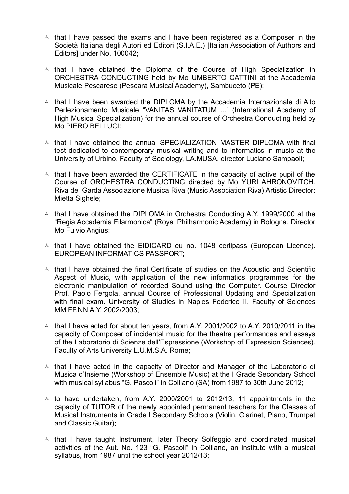- $\triangle$  that I have passed the exams and I have been registered as a Composer in the Società Italiana degli Autori ed Editori (S.I.A.E.) [Italian Association of Authors and Editors] under No. 100042;
- $\triangle$  that I have obtained the Diploma of the Course of High Specialization in ORCHESTRA CONDUCTING held by Mo UMBERTO CATTINI at the Accademia Musicale Pescarese (Pescara Musical Academy), Sambuceto (PE);
- $\triangle$  that I have been awarded the DIPLOMA by the Accademia Internazionale di Alto Perfezionamento Musicale "VANITAS VANITATUM ..." (International Academy of High Musical Specialization) for the annual course of Orchestra Conducting held by Mo PIERO BELLUGI;
- $\triangle$  that I have obtained the annual SPECIALIZATION MASTER DIPLOMA with final test dedicated to contemporary musical writing and to informatics in music at the University of Urbino, Faculty of Sociology, LA.MUSA, director Luciano Sampaoli;
- $\triangle$  that I have been awarded the CERTIFICATE in the capacity of active pupil of the Course of ORCHESTRA CONDUCTING directed by Mo YURI AHRONOVITCH. Riva del Garda Associazione Musica Riva (Music Association Riva) Artistic Director: Mietta Sighele;
- $\triangle$  that I have obtained the DIPLOMA in Orchestra Conducting A.Y. 1999/2000 at the "Regia Accademia Filarmonica" (Royal Philharmonic Academy) in Bologna. Director Mo Fulvio Angius;
- $\triangle$  that I have obtained the EIDICARD eu no. 1048 certipass (European Licence). EUROPEAN INFORMATICS PASSPORT;
- $\triangle$  that I have obtained the final Certificate of studies on the Acoustic and Scientific Aspect of Music, with application of the new informatics programmes for the electronic manipulation of recorded Sound using the Computer. Course Director Prof. Paolo Fergola, annual Course of Professional Updating and Specialization with final exam. University of Studies in Naples Federico II, Faculty of Sciences MM.FF.NN A.Y. 2002/2003;
- $\uparrow$  that I have acted for about ten years, from A.Y. 2001/2002 to A.Y. 2010/2011 in the capacity of Composer of incidental music for the theatre performances and essays of the Laboratorio di Scienze dell'Espressione (Workshop of Expression Sciences). Faculty of Arts University L.U.M.S.A. Rome;
- $\triangle$  that I have acted in the capacity of Director and Manager of the Laboratorio di Musica d'Insieme (Workshop of Ensemble Music) at the I Grade Secondary School with musical syllabus "G. Pascoli" in Colliano (SA) from 1987 to 30th June 2012;
- $\lambda$  to have undertaken, from A.Y. 2000/2001 to 2012/13, 11 appointments in the capacity of TUTOR of the newly appointed permanent teachers for the Classes of Musical Instruments in Grade I Secondary Schools (Violin, Clarinet, Piano, Trumpet and Classic Guitar);
- $\triangle$  that I have taught Instrument, later Theory Solfeggio and coordinated musical activities of the Aut. No. 123 "G. Pascoli" in Colliano, an institute with a musical syllabus, from 1987 until the school year 2012/13;